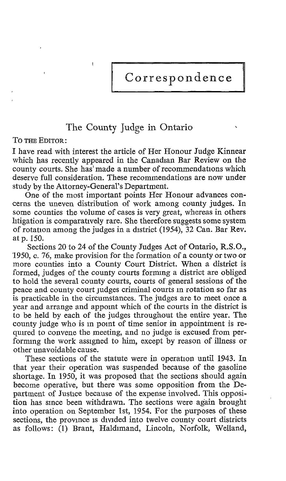Correspondence

## The County Judge in Ontario

TO THE EDITOR

I have read with interest the article of Her Honour Judge Kinnear which has recently appeared in the Canadian Bar Review on the county courts. She has' made a number of recommendations which deserve full consideration. These recommendations are now under study by the Attorney-General's Department.

One of the most important points Her Honour advances concerns the uneven distribution of work among county judges. In some counties the volume of cases is very great, whereas in others litigation is comparatively rare . She therefore suggests some system of rotation among the judges in a district (1954), 32 Can. Bar Rev. at p. 150.

Sections 20 to 24 of the County Judges Act of Ontario, R.S.O., 1950, c. 76, make provision for the formation of a county or two or more counties into a County Court District. When <sup>a</sup> district is formed, judges of the county courts forming a district are obliged to hold the several county courts, courts of general sessions of the peace and county court judges criminal courts in rotation so far as is practicable in the circumstances. The judges are to meet once a year and arrange and appoint which of the courts in the district is to be held by each of the judges throughout the entire year. The county judge who is in point of time senior in appointment is required to convene the meeting, and no judge is excused from performing the work assigned to him, except by reason of illness or other unavoidable cause.

These sections of the statute were in operation until 1943. In that year their operation was suspended because of the gasoline shortage. In 1950, it was proposed that the sections should again become operative, but there was some opposition from the Department of Justice because of the expense involved. This opposition has since been withdrawn. The sections were again brought into operation on September 1st, 1954. For the purposes of these sections, the province is divided into twelve county court districts as follows: (1) Brant, Haldimand, Lincoln, Norfolk, Welland,